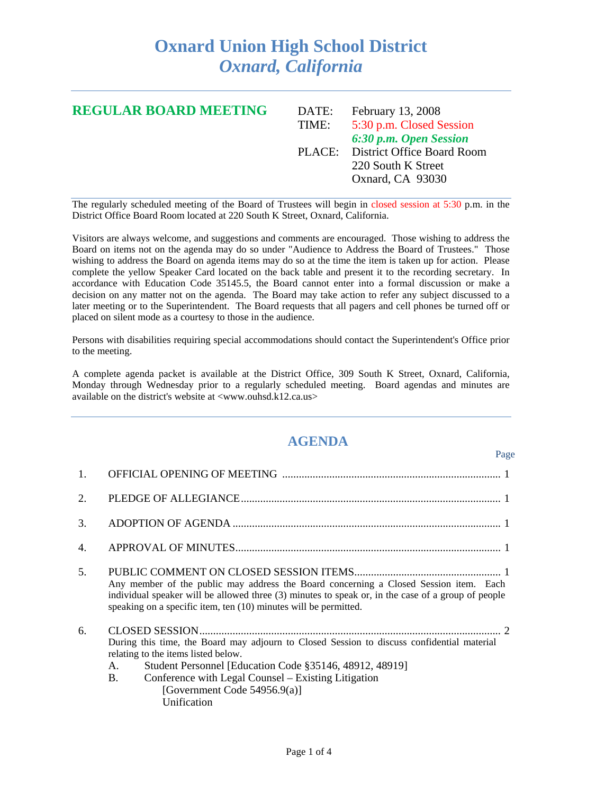## **Oxnard Union High School District**  *Oxnard, California*

| <b>REGULAR BOARD MEETING</b> | DATE: | February 13, 2008                 |
|------------------------------|-------|-----------------------------------|
|                              | TIME: | 5:30 p.m. Closed Session          |
|                              |       | 6:30 p.m. Open Session            |
|                              |       | PLACE: District Office Board Room |
|                              |       | 220 South K Street                |
|                              |       | Oxnard, CA 93030                  |
|                              |       |                                   |

The regularly scheduled meeting of the Board of Trustees will begin in closed session at 5:30 p.m. in the District Office Board Room located at 220 South K Street, Oxnard, California.

Visitors are always welcome, and suggestions and comments are encouraged. Those wishing to address the Board on items not on the agenda may do so under "Audience to Address the Board of Trustees." Those wishing to address the Board on agenda items may do so at the time the item is taken up for action. Please complete the yellow Speaker Card located on the back table and present it to the recording secretary. In accordance with Education Code 35145.5, the Board cannot enter into a formal discussion or make a decision on any matter not on the agenda. The Board may take action to refer any subject discussed to a later meeting or to the Superintendent. The Board requests that all pagers and cell phones be turned off or placed on silent mode as a courtesy to those in the audience.

Persons with disabilities requiring special accommodations should contact the Superintendent's Office prior to the meeting.

A complete agenda packet is available at the District Office, 309 South K Street, Oxnard, California, Monday through Wednesday prior to a regularly scheduled meeting. Board agendas and minutes are available on the district's website at <www.ouhsd.k12.ca.us>

## **AGENDA**

Page

| 1.               |                                                                                                                                                                                                                                                                                                                       |  |
|------------------|-----------------------------------------------------------------------------------------------------------------------------------------------------------------------------------------------------------------------------------------------------------------------------------------------------------------------|--|
| $\overline{2}$ . |                                                                                                                                                                                                                                                                                                                       |  |
| 3.               |                                                                                                                                                                                                                                                                                                                       |  |
| 4.               |                                                                                                                                                                                                                                                                                                                       |  |
| 5.               | Any member of the public may address the Board concerning a Closed Session item. Each<br>individual speaker will be allowed three (3) minutes to speak or, in the case of a group of people<br>speaking on a specific item, ten (10) minutes will be permitted.                                                       |  |
| 6.               | During this time, the Board may adjourn to Closed Session to discuss confidential material<br>relating to the items listed below.<br>Student Personnel [Education Code §35146, 48912, 48919]<br>A.<br>Conference with Legal Counsel – Existing Litigation<br><b>B.</b><br>[Government Code 54956.9(a)]<br>Unification |  |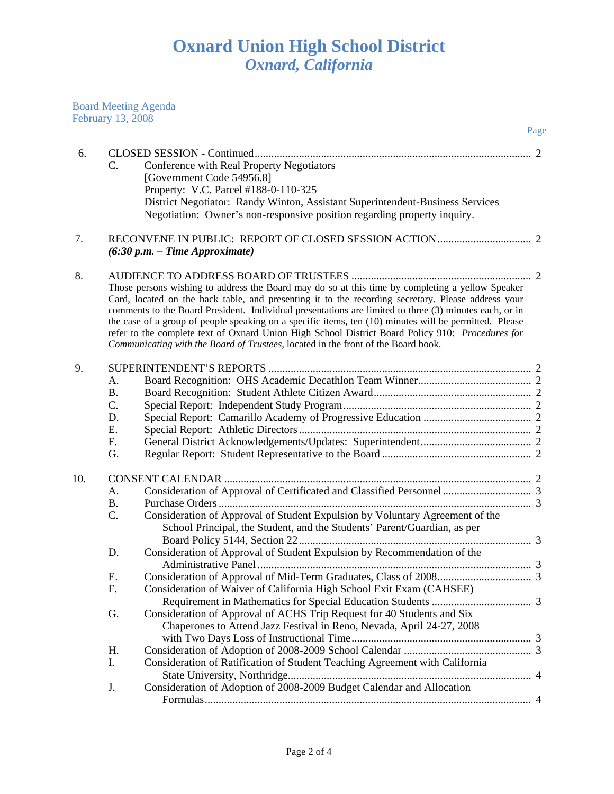|     |                                               | <b>Board Meeting Agenda</b>                                                                                                                                                                                                                                                                                                                                                                                                                                                                                                                                                                                         |      |
|-----|-----------------------------------------------|---------------------------------------------------------------------------------------------------------------------------------------------------------------------------------------------------------------------------------------------------------------------------------------------------------------------------------------------------------------------------------------------------------------------------------------------------------------------------------------------------------------------------------------------------------------------------------------------------------------------|------|
|     | February 13, 2008                             |                                                                                                                                                                                                                                                                                                                                                                                                                                                                                                                                                                                                                     | Page |
| 6.  | C.                                            | Conference with Real Property Negotiators<br>[Government Code 54956.8]<br>Property: V.C. Parcel #188-0-110-325<br>District Negotiator: Randy Winton, Assistant Superintendent-Business Services<br>Negotiation: Owner's non-responsive position regarding property inquiry.                                                                                                                                                                                                                                                                                                                                         |      |
| 7.  |                                               | $(6:30 p.m. - Time Approximate)$                                                                                                                                                                                                                                                                                                                                                                                                                                                                                                                                                                                    |      |
| 8.  |                                               | Those persons wishing to address the Board may do so at this time by completing a yellow Speaker<br>Card, located on the back table, and presenting it to the recording secretary. Please address your<br>comments to the Board President. Individual presentations are limited to three (3) minutes each, or in<br>the case of a group of people speaking on a specific items, ten (10) minutes will be permitted. Please<br>refer to the complete text of Oxnard Union High School District Board Policy 910: Procedures for<br>Communicating with the Board of Trustees, located in the front of the Board book. |      |
| 9.  | A.<br><b>B.</b><br>C.<br>D.<br>Ε.<br>F.<br>G. |                                                                                                                                                                                                                                                                                                                                                                                                                                                                                                                                                                                                                     |      |
| 10. | A.<br><b>B.</b><br>C.                         | Consideration of Approval of Student Expulsion by Voluntary Agreement of the<br>School Principal, the Student, and the Students' Parent/Guardian, as per                                                                                                                                                                                                                                                                                                                                                                                                                                                            |      |
|     | D.<br>Ε.<br>F.                                | Consideration of Approval of Student Expulsion by Recommendation of the<br>Consideration of Waiver of California High School Exit Exam (CAHSEE)                                                                                                                                                                                                                                                                                                                                                                                                                                                                     |      |
|     | G.                                            | Consideration of Approval of ACHS Trip Request for 40 Students and Six<br>Chaperones to Attend Jazz Festival in Reno, Nevada, April 24-27, 2008                                                                                                                                                                                                                                                                                                                                                                                                                                                                     |      |
|     | Η.<br>I.                                      | Consideration of Ratification of Student Teaching Agreement with California                                                                                                                                                                                                                                                                                                                                                                                                                                                                                                                                         |      |
|     | J.                                            | Consideration of Adoption of 2008-2009 Budget Calendar and Allocation                                                                                                                                                                                                                                                                                                                                                                                                                                                                                                                                               |      |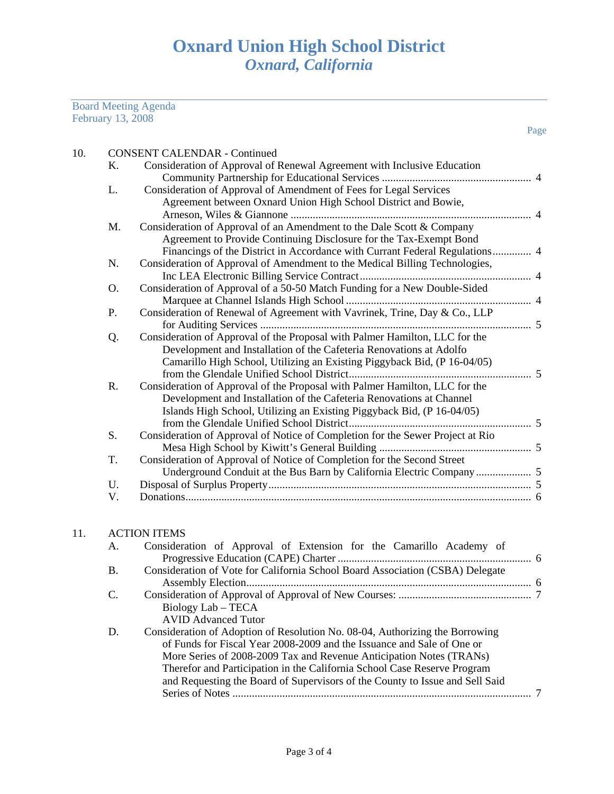## Board Meeting Agenda February 13, 2008

| 10. |    | <b>CONSENT CALENDAR - Continued</b>                                            |  |
|-----|----|--------------------------------------------------------------------------------|--|
|     | Κ. | Consideration of Approval of Renewal Agreement with Inclusive Education        |  |
|     |    |                                                                                |  |
|     | L. | Consideration of Approval of Amendment of Fees for Legal Services              |  |
|     |    | Agreement between Oxnard Union High School District and Bowie,                 |  |
|     |    |                                                                                |  |
|     | M. | Consideration of Approval of an Amendment to the Dale Scott & Company          |  |
|     |    | Agreement to Provide Continuing Disclosure for the Tax-Exempt Bond             |  |
|     |    | Financings of the District in Accordance with Currant Federal Regulations 4    |  |
|     | N. | Consideration of Approval of Amendment to the Medical Billing Technologies,    |  |
|     |    |                                                                                |  |
|     | O. | Consideration of Approval of a 50-50 Match Funding for a New Double-Sided      |  |
|     |    |                                                                                |  |
|     | P. | Consideration of Renewal of Agreement with Vavrinek, Trine, Day & Co., LLP     |  |
|     |    |                                                                                |  |
|     | Q. | Consideration of Approval of the Proposal with Palmer Hamilton, LLC for the    |  |
|     |    | Development and Installation of the Cafeteria Renovations at Adolfo            |  |
|     |    | Camarillo High School, Utilizing an Existing Piggyback Bid, (P 16-04/05)       |  |
|     |    |                                                                                |  |
|     | R. | Consideration of Approval of the Proposal with Palmer Hamilton, LLC for the    |  |
|     |    | Development and Installation of the Cafeteria Renovations at Channel           |  |
|     |    | Islands High School, Utilizing an Existing Piggyback Bid, (P 16-04/05)         |  |
|     |    |                                                                                |  |
|     | S. | Consideration of Approval of Notice of Completion for the Sewer Project at Rio |  |
|     |    |                                                                                |  |
|     | T. | Consideration of Approval of Notice of Completion for the Second Street        |  |
|     | U. |                                                                                |  |
|     |    |                                                                                |  |
|     | V. |                                                                                |  |

## 11. ACTION ITEMS

| A.        | Consideration of Approval of Extension for the Camarillo Academy of           |  |
|-----------|-------------------------------------------------------------------------------|--|
|           |                                                                               |  |
| <b>B.</b> | Consideration of Vote for California School Board Association (CSBA) Delegate |  |
|           |                                                                               |  |
| C.        |                                                                               |  |
|           | Biology Lab - TECA                                                            |  |
|           | <b>AVID Advanced Tutor</b>                                                    |  |
| D.        | Consideration of Adoption of Resolution No. 08-04, Authorizing the Borrowing  |  |
|           | of Funds for Fiscal Year 2008-2009 and the Issuance and Sale of One or        |  |
|           | More Series of 2008-2009 Tax and Revenue Anticipation Notes (TRANs)           |  |
|           | Therefor and Participation in the California School Case Reserve Program      |  |
|           | and Requesting the Board of Supervisors of the County to Issue and Sell Said  |  |
|           |                                                                               |  |
|           |                                                                               |  |